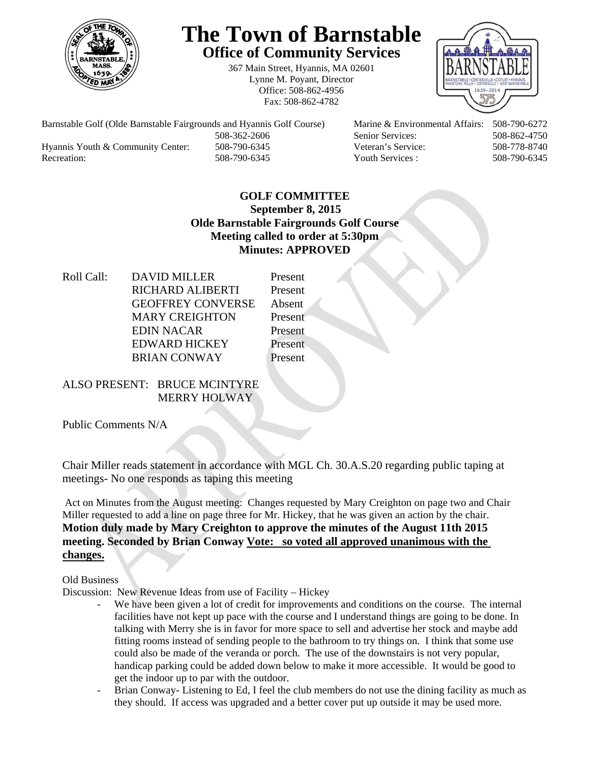

# **The Town of Barnstable Office of Community Services**

367 Main Street, Hyannis, MA 02601 Lynne M. Poyant, Director Office: 508-862-4956 Fax: 508-862-4782



Barnstable Golf (Olde Barnstable Fairgrounds and Hyannis Golf Course) Marine & Environmental Affairs: 508-790-6272 508-362-2606 Senior Services: 508-862-4750 Hyannis Youth & Community Center: 508-790-6345 Veteran's Service: 508-778-8740 Recreation: 508-790-6345 Youth Services : 508-790-6345 S08-790-6345

### **GOLF COMMITTEE September 8, 2015 Olde Barnstable Fairgrounds Golf Course Meeting called to order at 5:30pm Minutes: APPROVED**

Roll Call: DAVID MILLER Present RICHARD ALIBERTI Present GEOFFREY CONVERSE Absent MARY CREIGHTON Present EDIN NACAR Present EDWARD HICKEY Present BRIAN CONWAY Present

## ALSO PRESENT: BRUCE MCINTYRE MERRY HOLWAY

Public Comments N/A

Chair Miller reads statement in accordance with MGL Ch. 30.A.S.20 regarding public taping at meetings- No one responds as taping this meeting

Act on Minutes from the August meeting: Changes requested by Mary Creighton on page two and Chair Miller requested to add a line on page three for Mr. Hickey, that he was given an action by the chair. **Motion duly made by Mary Creighton to approve the minutes of the August 11th 2015 meeting. Seconded by Brian Conway Vote: so voted all approved unanimous with the changes.** 

Old Business

Discussion: New Revenue Ideas from use of Facility – Hickey

- We have been given a lot of credit for improvements and conditions on the course. The internal facilities have not kept up pace with the course and I understand things are going to be done. In talking with Merry she is in favor for more space to sell and advertise her stock and maybe add fitting rooms instead of sending people to the bathroom to try things on. I think that some use could also be made of the veranda or porch. The use of the downstairs is not very popular, handicap parking could be added down below to make it more accessible. It would be good to get the indoor up to par with the outdoor.
- Brian Conway- Listening to Ed, I feel the club members do not use the dining facility as much as they should. If access was upgraded and a better cover put up outside it may be used more.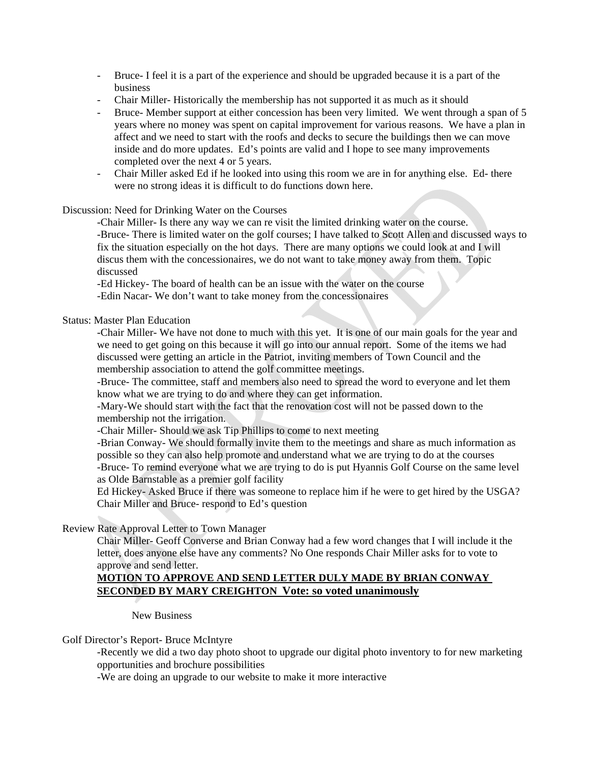- Bruce- I feel it is a part of the experience and should be upgraded because it is a part of the business
- Chair Miller-Historically the membership has not supported it as much as it should
- Bruce- Member support at either concession has been very limited. We went through a span of 5 years where no money was spent on capital improvement for various reasons. We have a plan in affect and we need to start with the roofs and decks to secure the buildings then we can move inside and do more updates. Ed's points are valid and I hope to see many improvements completed over the next 4 or 5 years.
- Chair Miller asked Ed if he looked into using this room we are in for anything else. Ed- there were no strong ideas it is difficult to do functions down here.

#### Discussion: Need for Drinking Water on the Courses

 -Chair Miller- Is there any way we can re visit the limited drinking water on the course. -Bruce- There is limited water on the golf courses; I have talked to Scott Allen and discussed ways to fix the situation especially on the hot days. There are many options we could look at and I will discus them with the concessionaires, we do not want to take money away from them. Topic discussed

 -Ed Hickey- The board of health can be an issue with the water on the course -Edin Nacar- We don't want to take money from the concessionaires

#### Status: Master Plan Education

-Chair Miller- We have not done to much with this yet. It is one of our main goals for the year and we need to get going on this because it will go into our annual report. Some of the items we had discussed were getting an article in the Patriot, inviting members of Town Council and the membership association to attend the golf committee meetings.

-Bruce- The committee, staff and members also need to spread the word to everyone and let them know what we are trying to do and where they can get information.

-Mary-We should start with the fact that the renovation cost will not be passed down to the membership not the irrigation.

-Chair Miller- Should we ask Tip Phillips to come to next meeting

-Brian Conway- We should formally invite them to the meetings and share as much information as possible so they can also help promote and understand what we are trying to do at the courses -Bruce- To remind everyone what we are trying to do is put Hyannis Golf Course on the same level as Olde Barnstable as a premier golf facility

 Ed Hickey- Asked Bruce if there was someone to replace him if he were to get hired by the USGA? Chair Miller and Bruce- respond to Ed's question

#### Review Rate Approval Letter to Town Manager

Chair Miller- Geoff Converse and Brian Conway had a few word changes that I will include it the letter, does anyone else have any comments? No One responds Chair Miller asks for to vote to approve and send letter.

#### **MOTION TO APPROVE AND SEND LETTER DULY MADE BY BRIAN CONWAY SECONDED BY MARY CREIGHTON Vote: so voted unanimously**

New Business

#### Golf Director's Report- Bruce McIntyre

-Recently we did a two day photo shoot to upgrade our digital photo inventory to for new marketing opportunities and brochure possibilities

-We are doing an upgrade to our website to make it more interactive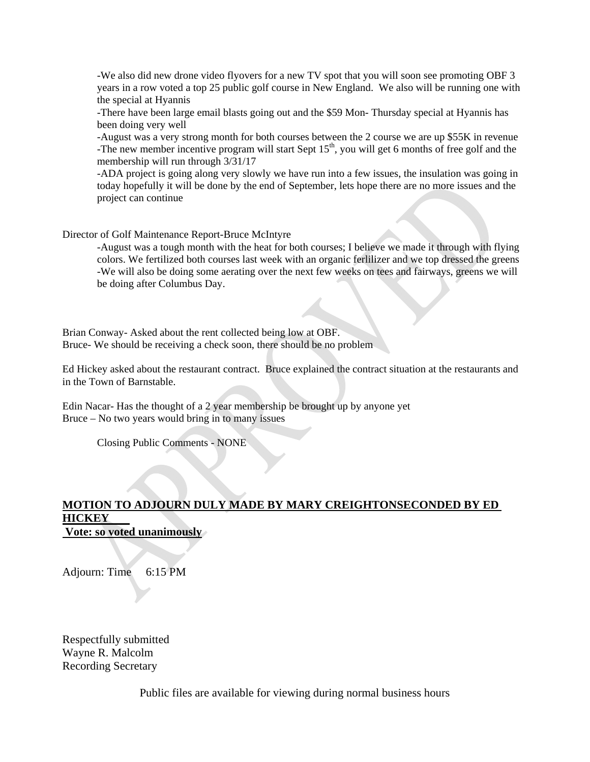-We also did new drone video flyovers for a new TV spot that you will soon see promoting OBF 3 years in a row voted a top 25 public golf course in New England. We also will be running one with the special at Hyannis

-There have been large email blasts going out and the \$59 Mon- Thursday special at Hyannis has been doing very well

-August was a very strong month for both courses between the 2 course we are up \$55K in revenue -The new member incentive program will start Sept  $15<sup>th</sup>$ , you will get 6 months of free golf and the membership will run through 3/31/17

-ADA project is going along very slowly we have run into a few issues, the insulation was going in today hopefully it will be done by the end of September, lets hope there are no more issues and the project can continue

Director of Golf Maintenance Report-Bruce McIntyre

-August was a tough month with the heat for both courses; I believe we made it through with flying colors. We fertilized both courses last week with an organic ferlilizer and we top dressed the greens -We will also be doing some aerating over the next few weeks on tees and fairways, greens we will be doing after Columbus Day.

Brian Conway- Asked about the rent collected being low at OBF. Bruce- We should be receiving a check soon, there should be no problem

Ed Hickey asked about the restaurant contract. Bruce explained the contract situation at the restaurants and in the Town of Barnstable.

Edin Nacar- Has the thought of a 2 year membership be brought up by anyone yet Bruce – No two years would bring in to many issues

Closing Public Comments - NONE

## **MOTION TO ADJOURN DULY MADE BY MARY CREIGHTONSECONDED BY ED HICKEY**

 **Vote: so voted unanimously**

Adjourn: Time 6:15 PM

Respectfully submitted Wayne R. Malcolm Recording Secretary

Public files are available for viewing during normal business hours